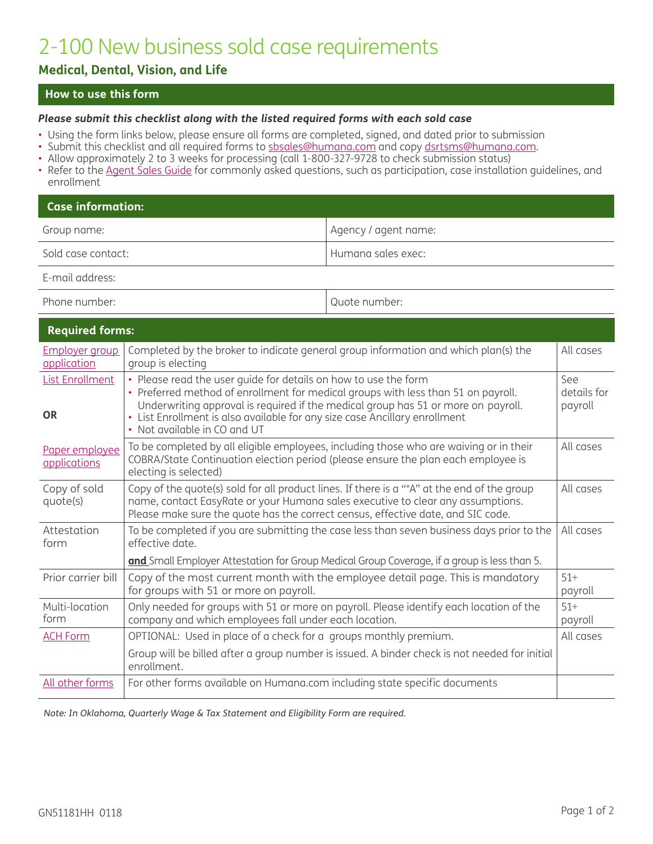# 2-100 New business sold case requirements

## **Medical, Dental, Vision, and Life**

## **How to use this form**

#### *Please submit this checklist along with the listed required forms with each sold case*

- Using the form links below, please ensure all forms are completed, signed, and dated prior to submission
- Submit this checklist and all required forms to <u>[sbsales@humana.com](mailto:sbsales%40humana.com?subject=)</u> and copy <u>dsrtsms@humana.com</u>.
- Allow approximately 2 to 3 weeks for processing (call 1-800-327-9728 to check submission status)
- Refer to the [Agent Sales Guide](http://apps.humana.com/marketing/documents.asp?file=2219685) for commonly asked questions, such as participation, case installation guidelines, and enrollment

| $\blacksquare$ Case information: |                      |  |
|----------------------------------|----------------------|--|
| Group name:                      | Agency / agent name: |  |
| Sold case contact:               | Humana sales exec:   |  |

E-mail address:

Phone number:  $\Box$ 

| <b>Required forms:</b>               |                                                                                                                                                                                                                                                                    |                    |
|--------------------------------------|--------------------------------------------------------------------------------------------------------------------------------------------------------------------------------------------------------------------------------------------------------------------|--------------------|
| <b>Employer group</b><br>application | Completed by the broker to indicate general group information and which plan(s) the<br>group is electing                                                                                                                                                           | All cases          |
| <b>List Enrollment</b>               | • Please read the user guide for details on how to use the form<br>• Preferred method of enrollment for medical groups with less than 51 on payroll.                                                                                                               | See<br>details for |
| <b>OR</b>                            | Underwriting approval is required if the medical group has 51 or more on payroll.<br>• List Enrollment is also available for any size case Ancillary enrollment<br>• Not available in CO and UT                                                                    | payroll            |
| Paper employee<br>applications       | To be completed by all eligible employees, including those who are waiving or in their<br>COBRA/State Continuation election period (please ensure the plan each employee is<br>electing is selected)                                                               | All cases          |
| Copy of sold<br>quote(s)             | Copy of the quote(s) sold for all product lines. If there is a "*A" at the end of the group<br>name, contact EasyRate or your Humana sales executive to clear any assumptions.<br>Please make sure the quote has the correct census, effective date, and SIC code. | All cases          |
| Attestation<br>form                  | To be completed if you are submitting the case less than seven business days prior to the<br>effective date.                                                                                                                                                       | All cases          |
|                                      | and Small Employer Attestation for Group Medical Group Coverage, if a group is less than 5.                                                                                                                                                                        |                    |
| Prior carrier bill                   | Copy of the most current month with the employee detail page. This is mandatory<br>for groups with 51 or more on payroll.                                                                                                                                          | $51+$<br>payroll   |
| Multi-location<br>form               | Only needed for groups with 51 or more on payroll. Please identify each location of the<br>company and which employees fall under each location.                                                                                                                   | $51+$<br>payroll   |
| <b>ACH Form</b>                      | OPTIONAL: Used in place of a check for a groups monthly premium.                                                                                                                                                                                                   | All cases          |
|                                      | Group will be billed after a group number is issued. A binder check is not needed for initial<br>enrollment.                                                                                                                                                       |                    |
| All other forms                      | For other forms available on Humana.com including state specific documents                                                                                                                                                                                         |                    |

*[Note: In Oklahom](http://apps.humana.com/ApplicationForms/Pages/ProductSelection.aspx)a, Quarterly Wage & Tax Statement and Eligibility Form are required.*